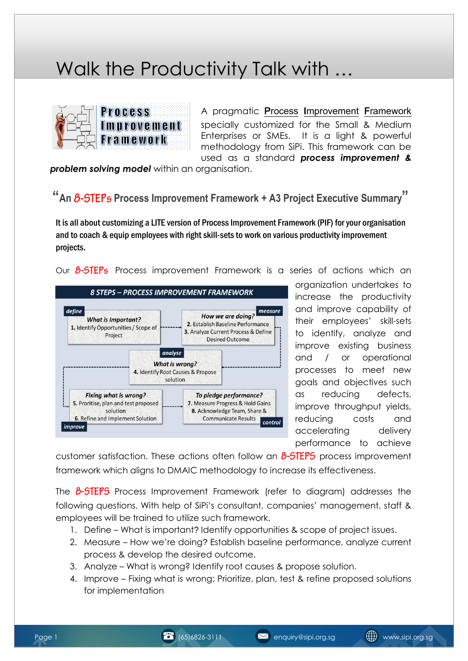## Walk the Productivity Talk with …



A pragmatic Process Improvement Framework specially customized for the Small & Medium Enterprises or SMEs. It is a light & powerful methodology from SiPi. This framework can be used as a standard *process improvement &* 

**problem solving model** within an organisation.

**"An Process Improvement Framework + A3 Project Executive Summary"**

It is all about customizing a LITE version of Process Improvement Framework (PIF) for your organisation and to coach & equip employees with right skill-sets to work on various productivity improvement projects.

Our  $\beta$ -STEPs Process improvement Framework is a series of actions which an



organization undertakes to increase the productivity and improve capability of their employees' skill-sets to identify, analyze and improve existing business and / or operational processes to meet new goals and objectives such as reducing defects, improve throughput yields, reducing costs and accelerating delivery performance to achieve

customer satisfaction. These actions often follow an  $8-5TEP5$  process improvement framework which aligns to DMAIC methodology to increase its effectiveness.

The  $\delta$ -STEPS Process Improvement Framework (refer to diagram) addresses the following questions. With help of SiPi's consultant, companies' management, staff & employees will be trained to utilize such framework.

- 1. Define What is important? Identify opportunities & scope of project issues.
- 2. Measure How we're doing? Establish baseline performance, analyze current process & develop the desired outcome.
- 3. Analyze What is wrong? Identify root causes & propose solution.
- 4. Improve Fixing what is wrong; Prioritize, plan, test & refine proposed solutions for implementation